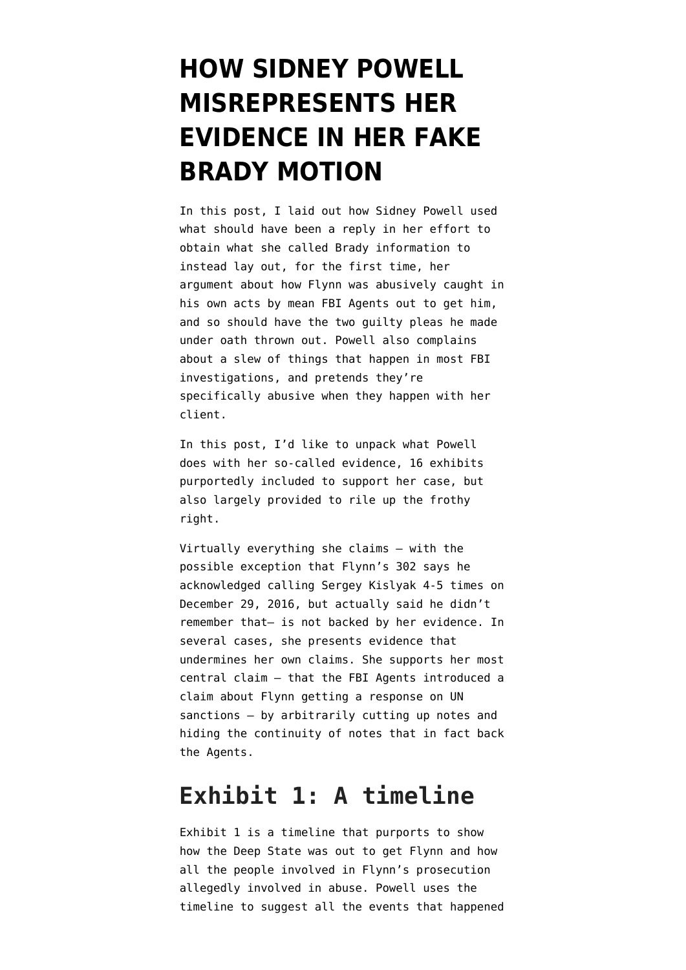# **[HOW SIDNEY POWELL](https://www.emptywheel.net/2019/10/28/how-sidney-powell-misrepresents-her-evidence-in-her-fake-brady-motion/) [MISREPRESENTS HER](https://www.emptywheel.net/2019/10/28/how-sidney-powell-misrepresents-her-evidence-in-her-fake-brady-motion/) [EVIDENCE IN HER FAKE](https://www.emptywheel.net/2019/10/28/how-sidney-powell-misrepresents-her-evidence-in-her-fake-brady-motion/) [BRADY MOTION](https://www.emptywheel.net/2019/10/28/how-sidney-powell-misrepresents-her-evidence-in-her-fake-brady-motion/)**

In [this post](https://www.emptywheel.net/2019/10/25/sidney-powell-attempts-to-rewrite-criminal-investigative-procedure/), I laid out how Sidney Powell used what should have been a reply in her effort to obtain what she called Brady information to instead lay out, for the first time, her [argument](https://www.courtlistener.com/recap/gov.uscourts.dcd.191592/gov.uscourts.dcd.191592.129.2.pdf) about how Flynn was abusively caught in his own acts by mean FBI Agents out to get him, and so should have the two guilty pleas he made under oath thrown out. Powell also complains about a slew of things that happen in most FBI investigations, and pretends they're specifically abusive when they happen with her client.

In this post, I'd like to unpack what Powell does with her so-called evidence, 16 exhibits purportedly included to support her case, but also largely provided to rile up the frothy right.

Virtually everything she claims — with the possible exception that Flynn's 302 says he acknowledged calling Sergey Kislyak 4-5 times on December 29, 2016, but actually said he didn't remember that– is not backed by her evidence. In several cases, she presents evidence that undermines her own claims. She supports her most central claim — that the FBI Agents introduced a claim about Flynn getting a response on UN sanctions — by arbitrarily cutting up notes and hiding the continuity of notes that in fact back the Agents.

### **Exhibit 1: A timeline**

[Exhibit 1](https://www.courtlistener.com/docket/6234142/129/3/united-states-v-flynn/) is a timeline that purports to show how the Deep State was out to get Flynn and how all the people involved in Flynn's prosecution allegedly involved in abuse. Powell uses the timeline to suggest all the events that happened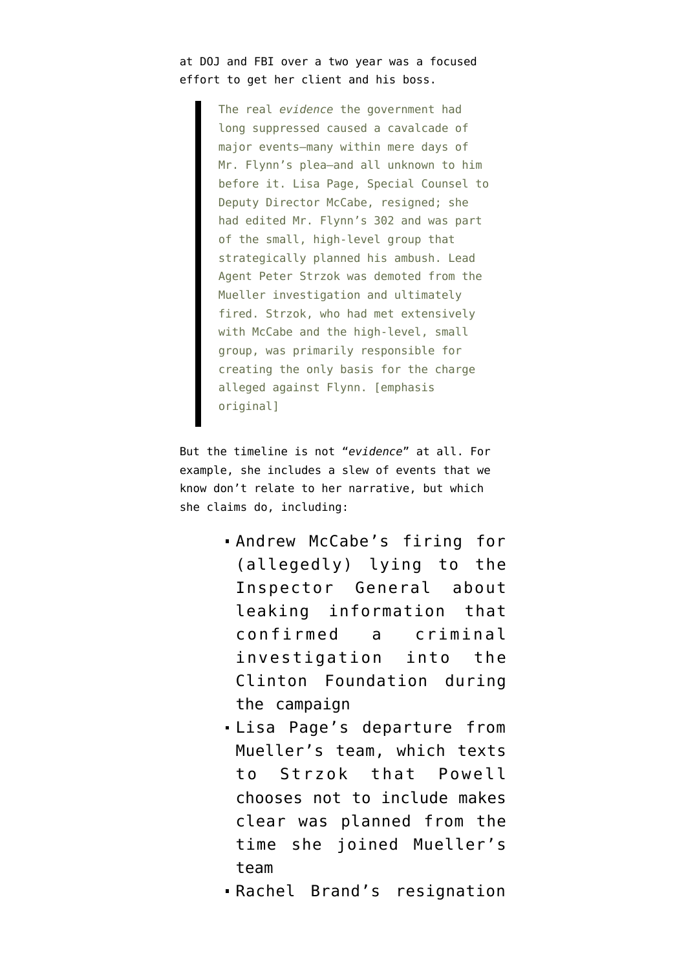#### at DOJ and FBI over a two year was a focused effort to get her client and his boss.

The real *evidence* the government had long suppressed caused a cavalcade of major events—many within mere days of Mr. Flynn's plea—and all unknown to him before it. Lisa Page, Special Counsel to Deputy Director McCabe, resigned; she had edited Mr. Flynn's 302 and was part of the small, high-level group that strategically planned his ambush. Lead Agent Peter Strzok was demoted from the Mueller investigation and ultimately fired. Strzok, who had met extensively with McCabe and the high-level, small group, was primarily responsible for creating the only basis for the charge alleged against Flynn. [emphasis original]

But the timeline is not "*evidence*" at all. For example, she includes a slew of events that we know don't relate to her narrative, but which she claims do, including:

- Andrew McCabe's firing for (allegedly) lying to the Inspector General about leaking information that confirmed a criminal investigation into the Clinton Foundation during the campaign
- Lisa Page's departure from Mueller's team, which texts to Strzok that Powell chooses not to include makes clear was planned from the time she joined Mueller's team
- Rachel Brand's resignation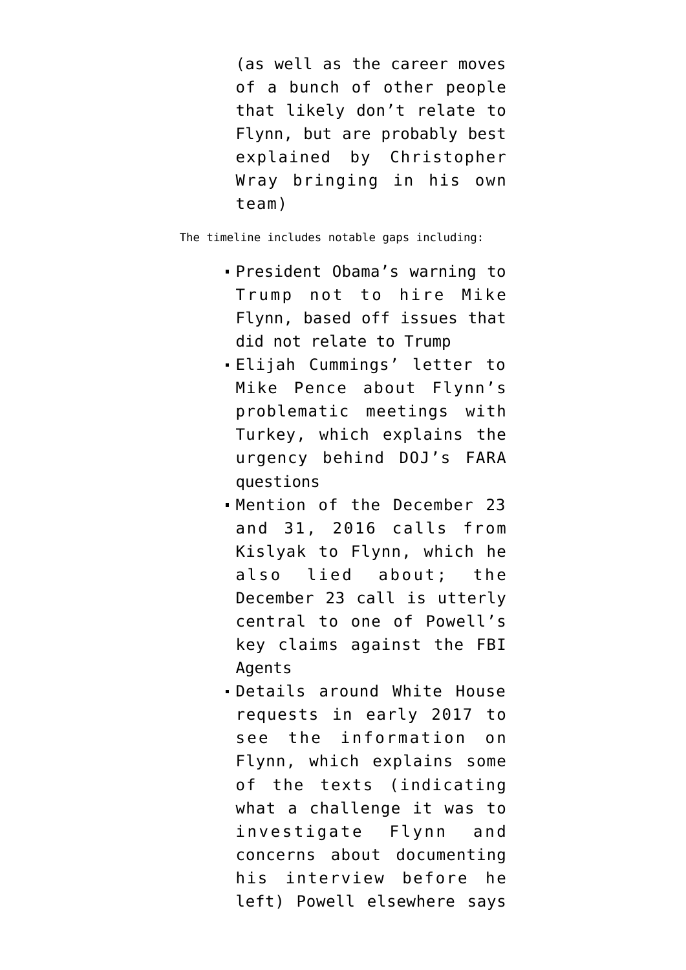(as well as the career moves of a bunch of other people that likely don't relate to Flynn, but are probably best explained by Christopher Wray bringing in his own team)

The timeline includes notable gaps including:

- President Obama's warning to Trump not to hire Mike Flynn, based off issues that did not relate to Trump
- Elijah Cummings' [letter](https://oversight.house.gov/sites/democrats.oversight.house.gov/files/documents/2016-11-18.EEC%20to%20Pence.pdf) to Mike Pence about Flynn's problematic meetings with Turkey, which explains the urgency behind DOJ's FARA questions
- Mention of the December 23 and 31, 2016 calls from Kislyak to Flynn, which he also lied about; the December 23 call is utterly central to one of Powell's key claims against the FBI Agents
- Details around White House requests in early 2017 to see the information on Flynn, which explains some of the texts (indicating what a challenge it was to investigate Flynn and concerns about documenting his interview before he left) Powell elsewhere says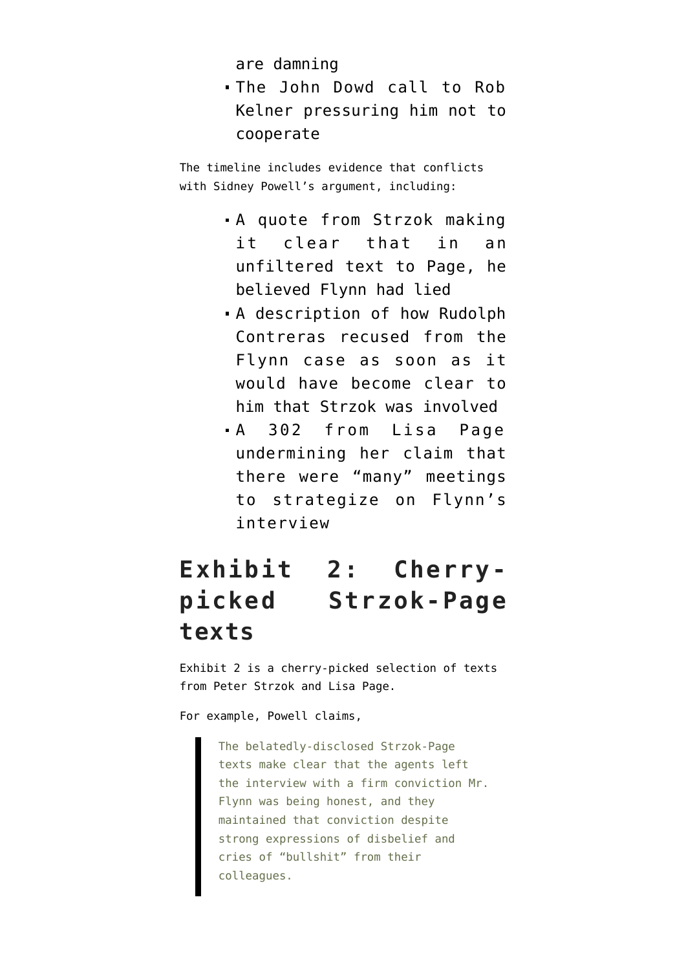are damning

The [John Dowd call](https://www.courtlistener.com/recap/gov.uscourts.dcd.191592/gov.uscourts.dcd.191592.80.1_8.pdf) to Rob Kelner pressuring him not to cooperate

The timeline includes evidence that conflicts with Sidney Powell's argument, including:

- A quote from Strzok making it clear that in an unfiltered text to Page, he believed Flynn had lied
- A description of how Rudolph Contreras recused from the Flynn case as soon as it would have become clear to him that Strzok was involved
- A 302 from Lisa Page undermining her claim that there were "many" meetings to strategize on Flynn's interview

# **Exhibit 2: Cherrypicked Strzok-Page texts**

Exhibit 2 is a [cherry-picked selection of texts](https://www.courtlistener.com/recap/gov.uscourts.dcd.191592/gov.uscourts.dcd.191592.129.4.pdf) from Peter Strzok and Lisa Page.

For example, Powell claims,

The belatedly-disclosed Strzok-Page texts make clear that the agents left the interview with a firm conviction Mr. Flynn was being honest, and they maintained that conviction despite strong expressions of disbelief and cries of "bullshit" from their colleagues.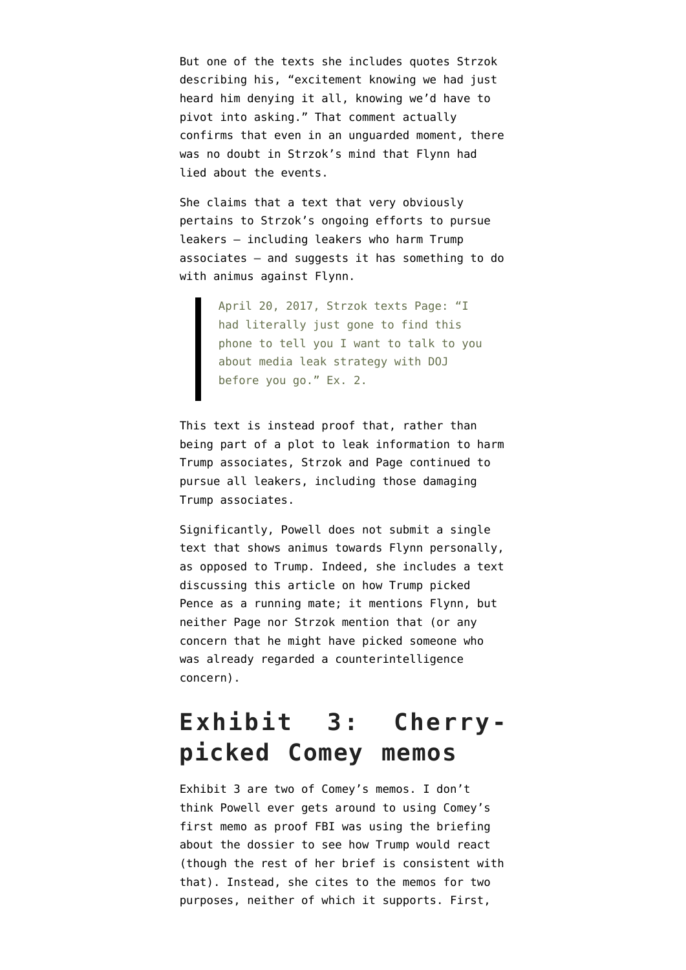But one of the texts she includes quotes Strzok describing his, "excitement knowing we had just heard him denying it all, knowing we'd have to pivot into asking." That comment actually confirms that even in an unguarded moment, there was no doubt in Strzok's mind that Flynn had lied about the events.

She claims that a text that very obviously pertains to Strzok's ongoing efforts to pursue leakers — including [leakers who harm Trump](https://www.emptywheel.net/2018/09/11/the-frothy-right-is-furious-that-peter-strzok-pursued-the-guy-leaking-about-carter-page/) [associates](https://www.emptywheel.net/2018/09/11/the-frothy-right-is-furious-that-peter-strzok-pursued-the-guy-leaking-about-carter-page/) — and suggests it has something to do with animus against Flynn.

> April 20, 2017, Strzok texts Page: "I had literally just gone to find this phone to tell you I want to talk to you about media leak strategy with DOJ before you go." Ex. 2.

This text is instead proof that, rather than being part of a plot to leak information to harm Trump associates, Strzok and Page continued to pursue all leakers, including those damaging Trump associates.

Significantly, Powell does not submit a single text that shows animus towards Flynn personally, as opposed to Trump. Indeed, she includes a text discussing [this article](https://www.nytimes.com/2016/07/20/magazine/how-donald-trump-picked-his-running-mate.html) on how Trump picked Pence as a running mate; it mentions Flynn, but neither Page nor Strzok mention that (or any concern that he might have picked someone who was already regarded a counterintelligence concern).

# **Exhibit 3: Cherrypicked Comey memos**

[Exhibit 3](https://www.courtlistener.com/recap/gov.uscourts.dcd.191592/gov.uscourts.dcd.191592.129.5.pdf) are two of Comey's memos. I don't think Powell ever gets around to using Comey's first memo as proof FBI was using the briefing about the dossier to see how Trump would react (though the rest of her brief is consistent with that). Instead, she cites to the memos for two purposes, neither of which it supports. First,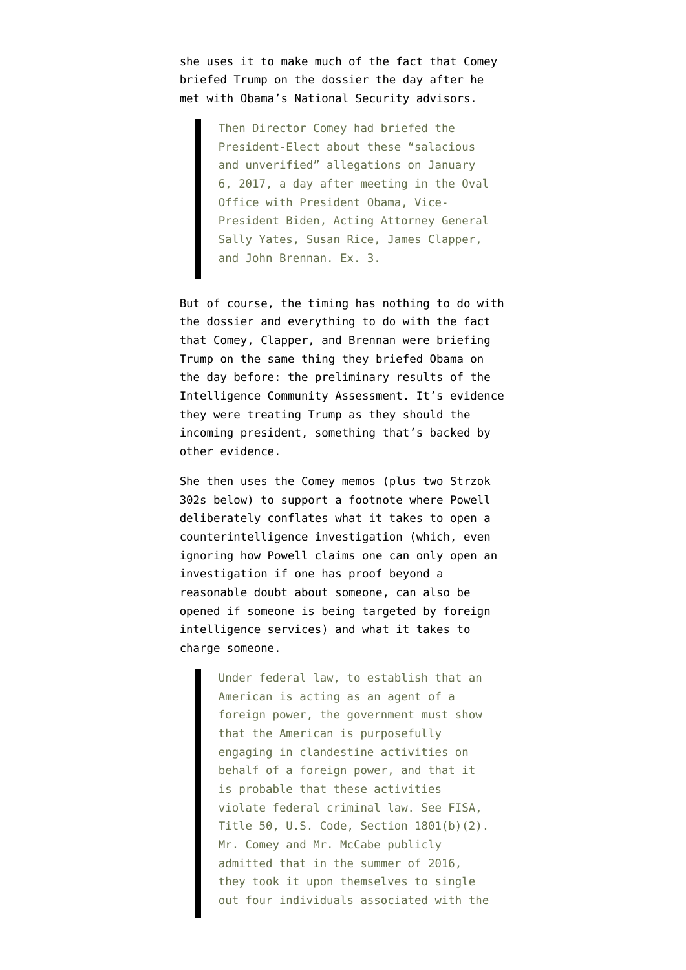she uses it to make much of the fact that Comey briefed Trump on the dossier the day after he met with Obama's National Security advisors.

> Then Director Comey had briefed the President-Elect about these "salacious and unverified" allegations on January 6, 2017, a day after meeting in the Oval Office with President Obama, Vice-President Biden, Acting Attorney General Sally Yates, Susan Rice, James Clapper, and John Brennan. Ex. 3.

But of course, the timing has nothing to do with the dossier and everything to do with the fact that Comey, Clapper, and Brennan were briefing Trump on the same thing they briefed Obama on the day before: the preliminary results of the Intelligence Community Assessment. It's evidence they were treating Trump as they should the incoming president, something that's backed by other evidence.

She then uses the Comey memos (plus two Strzok 302s below) to support a footnote where Powell deliberately conflates what it takes to open a counterintelligence investigation (which, even ignoring how Powell claims one can only open an investigation if one has proof beyond a reasonable doubt about someone, can also be opened if someone is being targeted by foreign intelligence services) and what it takes to charge someone.

> Under federal law, to establish that an American is acting as an agent of a foreign power, the government must show that the American is purposefully engaging in clandestine activities on behalf of a foreign power, and that it is probable that these activities violate federal criminal law. See FISA, Title 50, U.S. Code, Section 1801(b)(2). Mr. Comey and Mr. McCabe publicly admitted that in the summer of 2016, they took it upon themselves to single out four individuals associated with the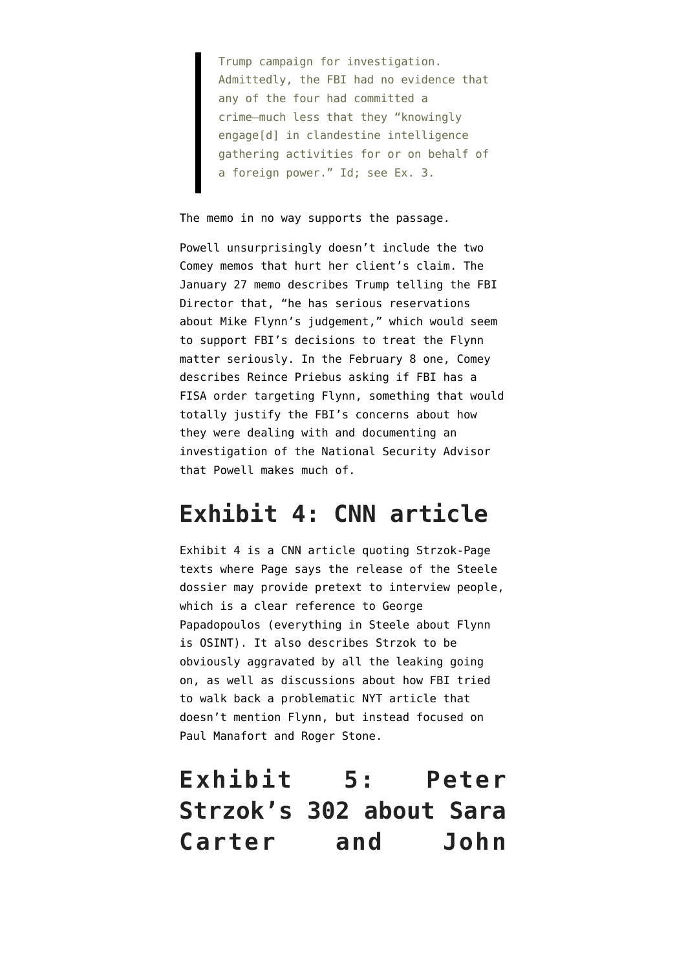Trump campaign for investigation. Admittedly, the FBI had no evidence that any of the four had committed a crime—much less that they "knowingly engage[d] in clandestine intelligence gathering activities for or on behalf of a foreign power." Id; see Ex. 3.

#### The memo in no way supports the passage.

Powell unsurprisingly doesn't include the two Comey memos that hurt her client's claim. The January 27 memo [describes](https://www.emptywheel.net/2019/06/06/trump-claimed-to-be-angry-flynn-didnt-make-good-on-putins-january-21-requested-phone-call/) Trump telling the FBI Director that, "he has serious reservations about Mike Flynn's judgement," which would seem to support FBI's decisions to treat the Flynn matter seriously. In the February 8 one, Comey [describes](https://www.emptywheel.net/2018/05/04/the-quest-trump-learns-of-the-investigation-part-four/) Reince Priebus asking if FBI has a FISA order targeting Flynn, something that would totally justify the FBI's concerns about how they were dealing with and documenting an investigation of the National Security Advisor that Powell makes much of.

#### **Exhibit 4: CNN article**

Exhibit 4 is a [CNN article](https://www.courtlistener.com/recap/gov.uscourts.dcd.191592/gov.uscourts.dcd.191592.129.2.pdf) quoting Strzok-Page texts where Page says the release of the Steele dossier may provide pretext to interview people, which is a clear reference to George Papadopoulos (everything in Steele about Flynn is OSINT). It also describes Strzok to be obviously aggravated by all the leaking going on, as well as discussions about how FBI tried to walk back a problematic [NYT article](https://www.nytimes.com/2017/01/19/us/politics/trump-russia-associates-investigation.html) that doesn't mention Flynn, but instead focused on Paul Manafort and Roger Stone.

## **Exhibit 5: Peter Strzok's 302 about Sara Carter and John**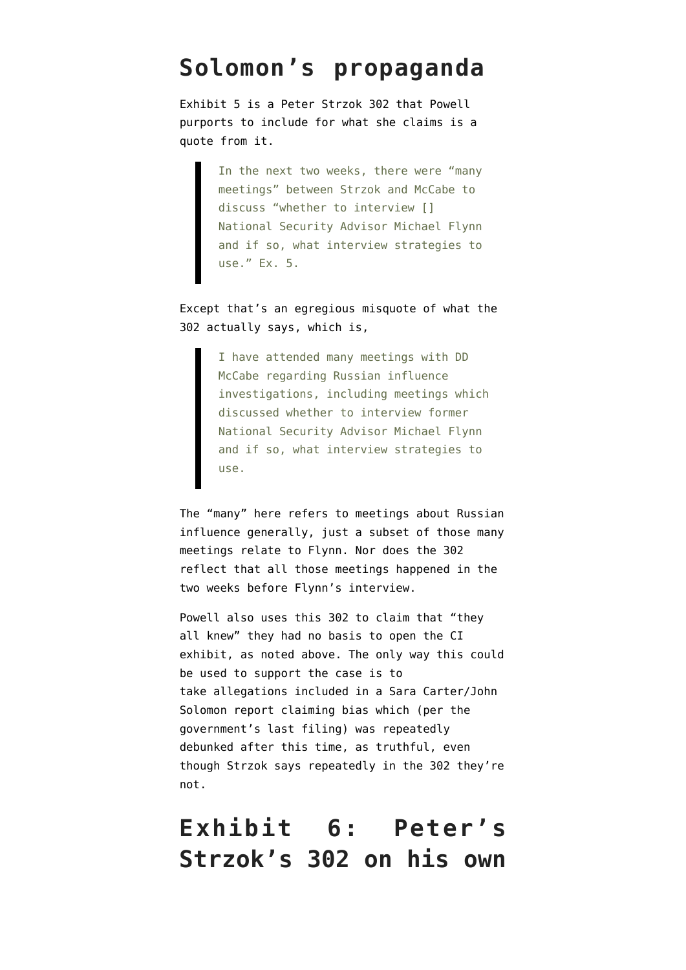#### **Solomon's propaganda**

[Exhibit 5](https://www.courtlistener.com/recap/gov.uscourts.dcd.191592/gov.uscourts.dcd.191592.129.7.pdf) is a Peter Strzok 302 that Powell purports to include for what she claims is a quote from it.

> In the next two weeks, there were "many meetings" between Strzok and McCabe to discuss "whether to interview [] National Security Advisor Michael Flynn and if so, what interview strategies to use." Ex. 5.

Except that's an egregious misquote of what the 302 actually says, which is,

> I have attended many meetings with DD McCabe regarding Russian influence investigations, including meetings which discussed whether to interview former National Security Advisor Michael Flynn and if so, what interview strategies to use.

The "many" here refers to meetings about Russian influence generally, just a subset of those many meetings relate to Flynn. Nor does the 302 reflect that all those meetings happened in the two weeks before Flynn's interview.

Powell also uses this 302 to claim that "they all knew" they had no basis to open the CI exhibit, as noted above. The only way this could be used to support the case is to take allegations included in a Sara Carter/John Solomon report claiming bias which (per [the](https://www.courtlistener.com/recap/gov.uscourts.dcd.191592/gov.uscourts.dcd.191592.122.0_3.pdf) [government's last filing\)](https://www.courtlistener.com/recap/gov.uscourts.dcd.191592/gov.uscourts.dcd.191592.122.0_3.pdf) was repeatedly debunked after this time, as truthful, even though Strzok says repeatedly in the 302 they're not.

#### **Exhibit 6: Peter's Strzok's 302 on his own**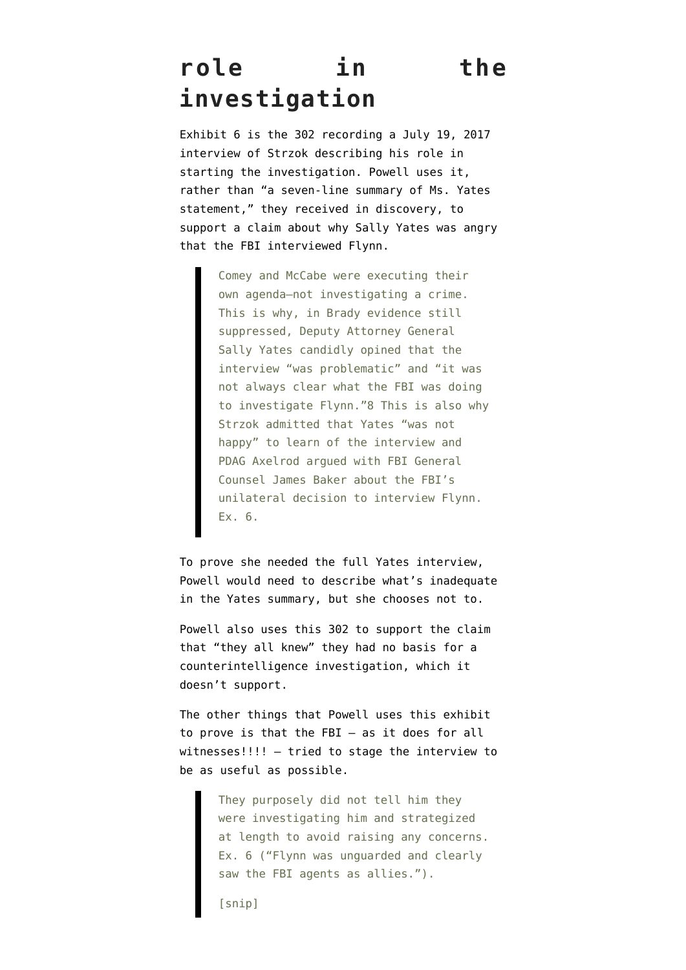## **role in the investigation**

Exhibit 6 is the [302 recording a July 19, 2017](https://www.courtlistener.com/recap/gov.uscourts.dcd.191592/gov.uscourts.dcd.191592.129.8_1.pdf) interview of Strzok describing his role in starting the investigation. Powell uses it, rather than "a seven-line summary of Ms. Yates statement," they received in discovery, to support a claim about why Sally Yates was angry that the FBI interviewed Flynn.

> Comey and McCabe were executing their own agenda—not investigating a crime. This is why, in Brady evidence still suppressed, Deputy Attorney General Sally Yates candidly opined that the interview "was problematic" and "it was not always clear what the FBI was doing to investigate Flynn."8 This is also why Strzok admitted that Yates "was not happy" to learn of the interview and PDAG Axelrod argued with FBI General Counsel James Baker about the FBI's unilateral decision to interview Flynn. Ex. 6.

To prove she needed the full Yates interview, Powell would need to describe what's inadequate in the Yates summary, but she chooses not to.

Powell also uses this 302 to support the claim that "they all knew" they had no basis for a counterintelligence investigation, which it doesn't support.

The other things that Powell uses this exhibit to prove is that the FBI — as it does for all witnesses!!!! — tried to stage the interview to be as useful as possible.

> They purposely did not tell him they were investigating him and strategized at length to avoid raising any concerns. Ex. 6 ("Flynn was unguarded and clearly saw the FBI agents as allies.").

[snip]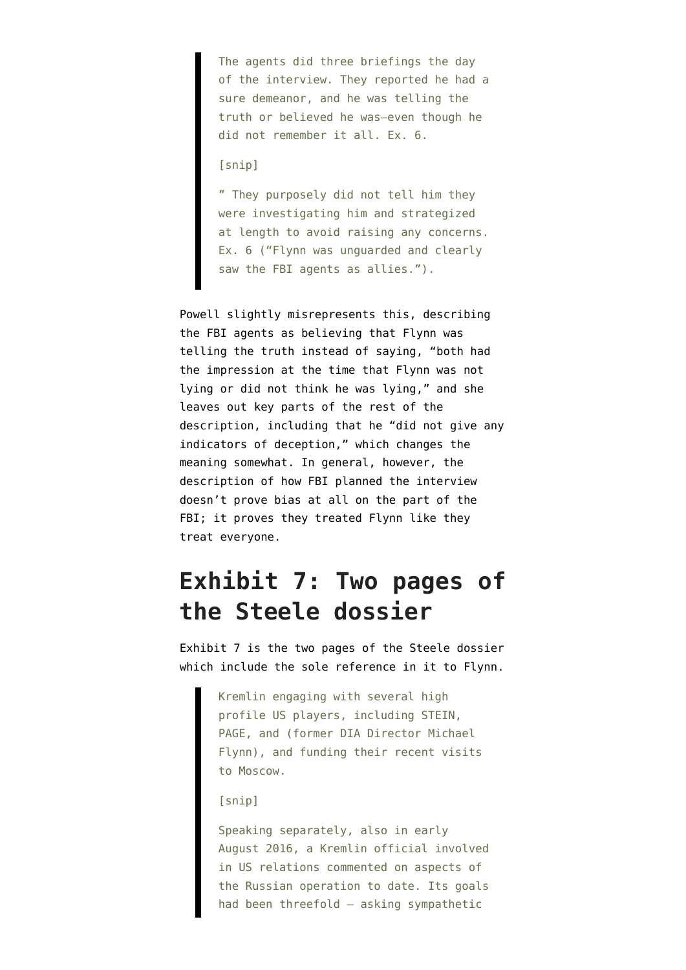The agents did three briefings the day of the interview. They reported he had a sure demeanor, and he was telling the truth or believed he was—even though he did not remember it all. Ex. 6.

#### [snip]

" They purposely did not tell him they were investigating him and strategized at length to avoid raising any concerns. Ex. 6 ("Flynn was unguarded and clearly saw the FBI agents as allies.").

Powell slightly misrepresents this, describing the FBI agents as believing that Flynn was telling the truth instead of saying, "both had the impression at the time that Flynn was not lying or did not think he was lying," and she leaves out key parts of the rest of the description, including that he "did not give any indicators of deception," which changes the meaning somewhat. In general, however, the description of how FBI planned the interview doesn't prove bias at all on the part of the FBI; it proves they treated Flynn like they treat everyone.

### **Exhibit 7: Two pages of the Steele dossier**

[Exhibit 7](https://www.courtlistener.com/recap/gov.uscourts.dcd.191592/gov.uscourts.dcd.191592.129.9.pdf) is the two pages of the Steele dossier which include the sole reference in it to Flynn.

> Kremlin engaging with several high profile US players, including STEIN, PAGE, and (former DIA Director Michael Flynn), and funding their recent visits to Moscow.

#### [snip]

Speaking separately, also in early August 2016, a Kremlin official involved in US relations commented on aspects of the Russian operation to date. Its goals had been threefold — asking sympathetic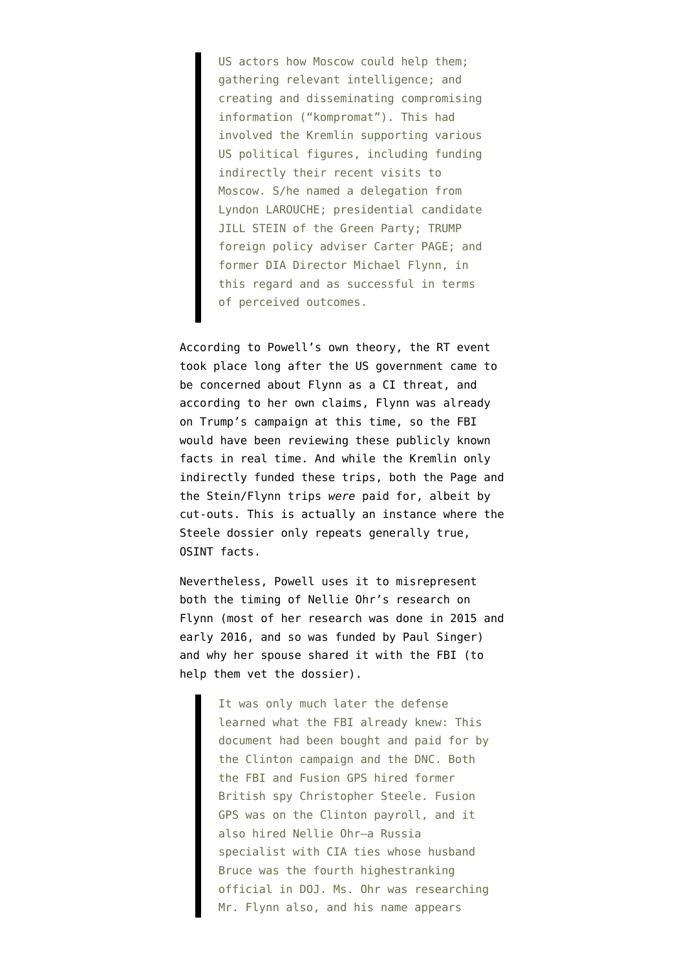US actors how Moscow could help them; gathering relevant intelligence; and creating and disseminating compromising information ("kompromat"). This had involved the Kremlin supporting various US political figures, including funding indirectly their recent visits to Moscow. S/he named a delegation from Lyndon LAROUCHE; presidential candidate JILL STEIN of the Green Party; TRUMP foreign policy adviser Carter PAGE; and former DIA Director Michael Flynn, in this regard and as successful in terms of perceived outcomes.

According to Powell's own theory, the RT event took place long after the US government came to be concerned about Flynn as a CI threat, and according to her own claims, Flynn was already on Trump's campaign at this time, so the FBI would have been reviewing these publicly known facts in real time. And while the Kremlin only indirectly funded these trips, both the Page and the Stein/Flynn trips *were* paid for, albeit by cut-outs. This is actually an instance where the Steele dossier only repeats generally true, OSINT facts.

Nevertheless, Powell uses it to misrepresent both the timing of Nellie Ohr's research on Flynn ([most of her research was done in 2015 and](https://www.emptywheel.net/2019/08/17/judicial-watch-sues-doj-and-obtains-proof-that-mark-meadows-and-his-propagandists-are-conspiracist-idiots/) [early 2016,](https://www.emptywheel.net/2019/08/17/judicial-watch-sues-doj-and-obtains-proof-that-mark-meadows-and-his-propagandists-are-conspiracist-idiots/) and so was funded by Paul Singer) and why her spouse shared it with the FBI [\(to](https://www.emptywheel.net/2019/08/09/the-unremarkable-bruce-ohr-302s/) [help them vet the dossier\)](https://www.emptywheel.net/2019/08/09/the-unremarkable-bruce-ohr-302s/).

> It was only much later the defense learned what the FBI already knew: This document had been bought and paid for by the Clinton campaign and the DNC. Both the FBI and Fusion GPS hired former British spy Christopher Steele. Fusion GPS was on the Clinton payroll, and it also hired Nellie Ohr—a Russia specialist with CIA ties whose husband Bruce was the fourth highestranking official in DOJ. Ms. Ohr was researching Mr. Flynn also, and his name appears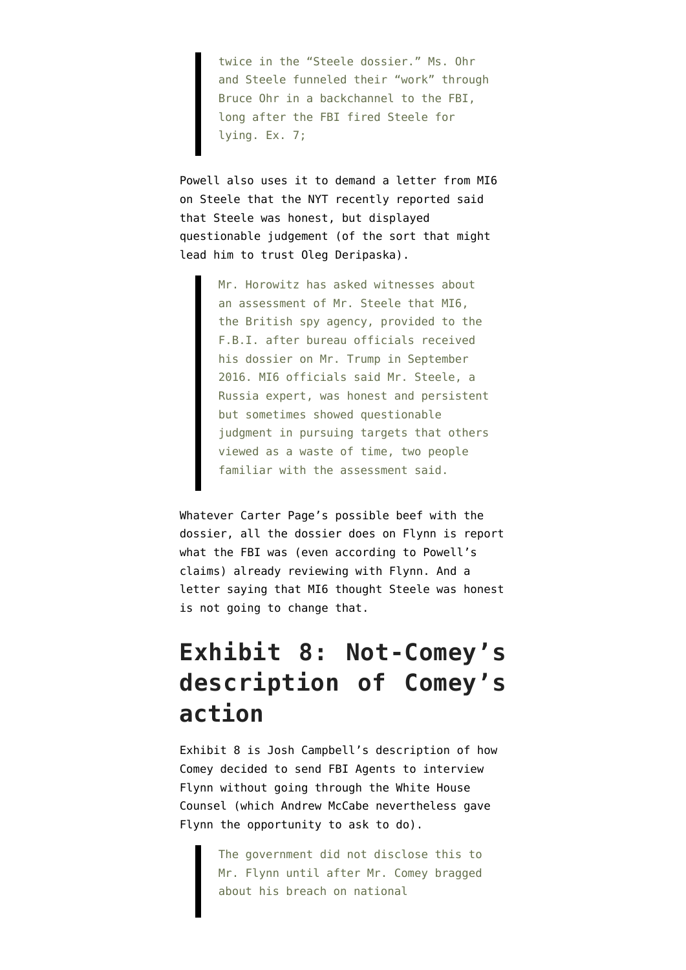twice in the "Steele dossier." Ms. Ohr and Steele funneled their "work" through Bruce Ohr in a backchannel to the FBI, long after the FBI fired Steele for lying. Ex. 7;

Powell also uses it to demand a letter from MI6 on Steele that the [NYT recently reported](https://www.nytimes.com/2019/10/19/us/politics/durham-review-fbi-witnesses.html) said that Steele was honest, but displayed questionable judgement (of the sort that might lead him to trust Oleg Deripaska).

> Mr. Horowitz has asked witnesses about an assessment of Mr. Steele that MI6, the British spy agency, provided to the F.B.I. after bureau officials received his dossier on Mr. Trump in September 2016. MI6 officials said Mr. Steele, a Russia expert, was honest and persistent but sometimes showed questionable judgment in pursuing targets that others viewed as a waste of time, two people familiar with the assessment said.

Whatever Carter Page's possible beef with the dossier, all the dossier does on Flynn is report what the FBI was (even according to Powell's claims) already reviewing with Flynn. And a letter saying that MI6 thought Steele was honest is not going to change that.

### **Exhibit 8: Not-Comey's description of Comey's action**

[Exhibit 8](https://www.courtlistener.com/recap/gov.uscourts.dcd.191592/gov.uscourts.dcd.191592.129.10.pdf) is Josh Campbell's description of how Comey decided to send FBI Agents to interview Flynn without going through the White House Counsel (which Andrew McCabe nevertheless gave Flynn the opportunity to ask to do).

> The government did not disclose this to Mr. Flynn until after Mr. Comey bragged about his breach on national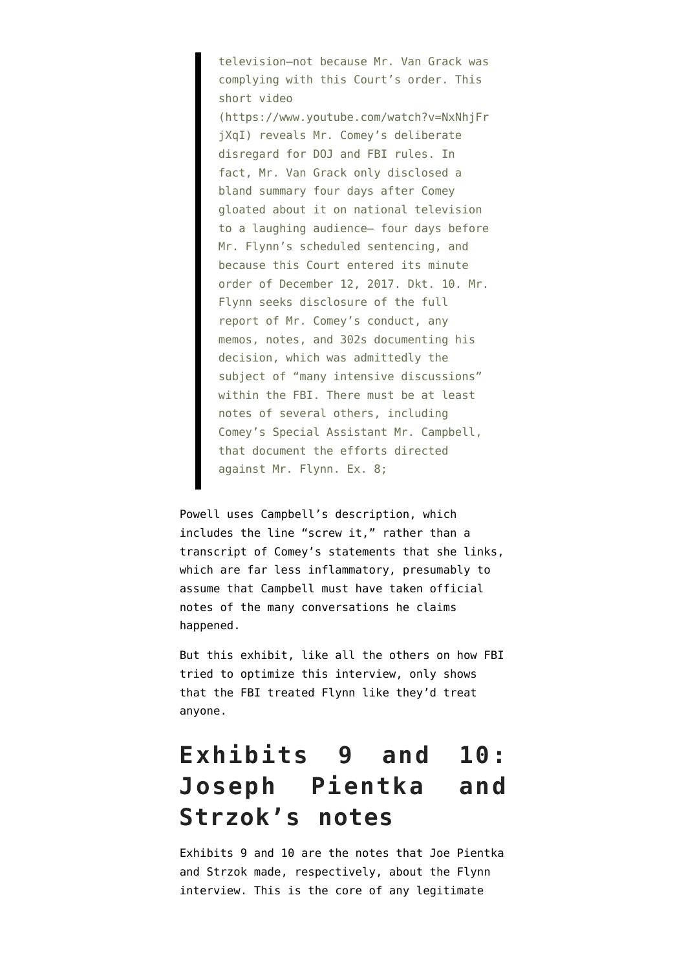television—not because Mr. Van Grack was complying with this Court's order. This short video

(https://www.youtube.com/watch?v=NxNhjFr jXqI) reveals Mr. Comey's deliberate disregard for DOJ and FBI rules. In fact, Mr. Van Grack only disclosed a bland summary four days after Comey gloated about it on national television to a laughing audience— four days before Mr. Flynn's scheduled sentencing, and because this Court entered its minute order of December 12, 2017. Dkt. 10. Mr. Flynn seeks disclosure of the full report of Mr. Comey's conduct, any memos, notes, and 302s documenting his decision, which was admittedly the subject of "many intensive discussions" within the FBI. There must be at least notes of several others, including Comey's Special Assistant Mr. Campbell, that document the efforts directed against Mr. Flynn. Ex. 8;

Powell uses Campbell's description, which includes the line "screw it," rather than a transcript of Comey's statements that she links, which are far less inflammatory, presumably to assume that Campbell must have taken official notes of the many conversations he claims happened.

But this exhibit, like all the others on how FBI tried to optimize this interview, only shows that the FBI treated Flynn like they'd treat anyone.

## **Exhibits 9 and 10: Joseph Pientka and Strzok's notes**

Exhibits 9 and 10 are the notes that [Joe Pientka](https://www.courtlistener.com/recap/gov.uscourts.dcd.191592/gov.uscourts.dcd.191592.129.11.pdf) and [Strzok](https://www.courtlistener.com/recap/gov.uscourts.dcd.191592/gov.uscourts.dcd.191592.129.12.pdf) made, respectively, about the Flynn interview. This is the core of any legitimate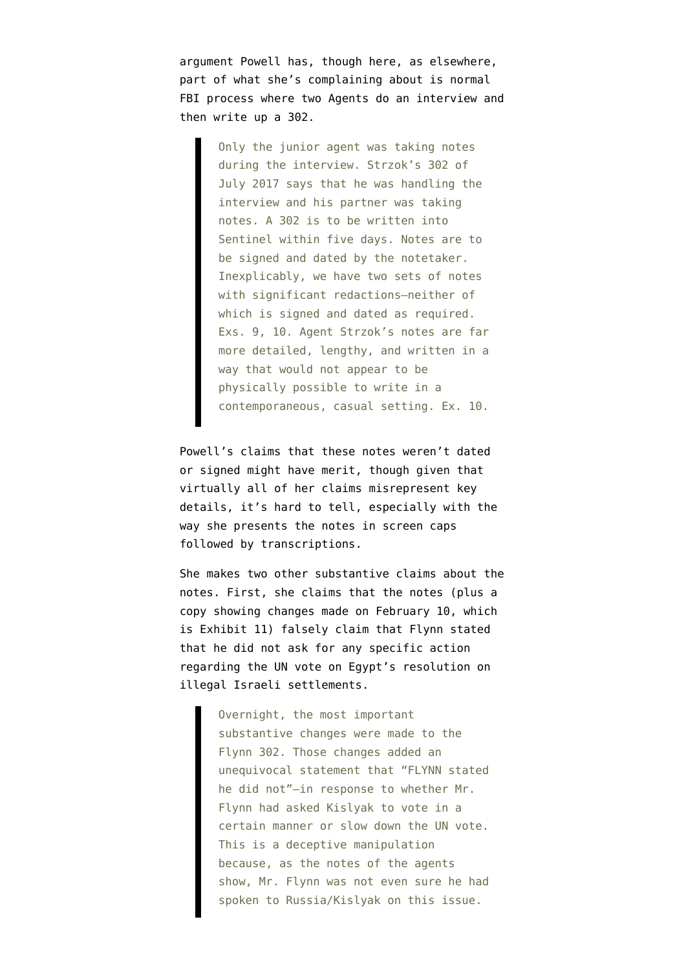argument Powell has, though here, as elsewhere, part of what she's complaining about is normal FBI process where two Agents do an interview and then write up a 302.

> Only the junior agent was taking notes during the interview. Strzok's 302 of July 2017 says that he was handling the interview and his partner was taking notes. A 302 is to be written into Sentinel within five days. Notes are to be signed and dated by the notetaker. Inexplicably, we have two sets of notes with significant redactions—neither of which is signed and dated as required. Exs. 9, 10. Agent Strzok's notes are far more detailed, lengthy, and written in a way that would not appear to be physically possible to write in a contemporaneous, casual setting. Ex. 10.

Powell's claims that these notes weren't dated or signed might have merit, though given that virtually all of her claims misrepresent key details, it's hard to tell, especially with the way she presents the notes in screen caps followed by transcriptions.

She makes two other substantive claims about the notes. First, she claims that the notes (plus a copy showing changes made on February 10, which is Exhibit 11) falsely claim that Flynn stated that he did not ask for any specific action regarding the UN vote on Egypt's resolution on illegal Israeli settlements.

> Overnight, the most important substantive changes were made to the Flynn 302. Those changes added an unequivocal statement that "FLYNN stated he did not"—in response to whether Mr. Flynn had asked Kislyak to vote in a certain manner or slow down the UN vote. This is a deceptive manipulation because, as the notes of the agents show, Mr. Flynn was not even sure he had spoken to Russia/Kislyak on this issue.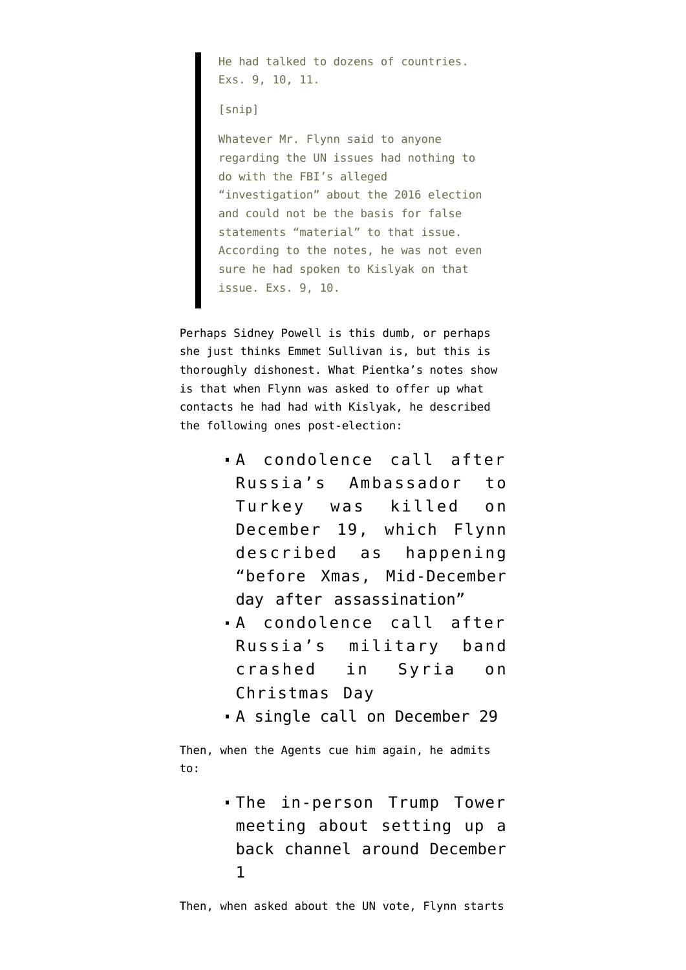He had talked to dozens of countries. Exs. 9, 10, 11.

[snip]

Whatever Mr. Flynn said to anyone regarding the UN issues had nothing to do with the FBI's alleged "investigation" about the 2016 election and could not be the basis for false statements "material" to that issue. According to the notes, he was not even sure he had spoken to Kislyak on that issue. Exs. 9, 10.

Perhaps Sidney Powell is this dumb, or perhaps she just thinks Emmet Sullivan is, but this is thoroughly dishonest. What Pientka's notes show is that when Flynn was asked to offer up what contacts he had had with Kislyak, he described the following ones post-election:

- A condolence call after Russia's Ambassador to Turkey was killed on December 19, which Flynn described as happening "before Xmas, Mid-December day after assassination"
- A condolence call after Russia's military band crashed in Syria on Christmas Day
- A single call on December 29

Then, when the Agents cue him again, he admits to:

> The in-person Trump Tower meeting about setting up a back channel around December 1

Then, when asked about the UN vote, Flynn starts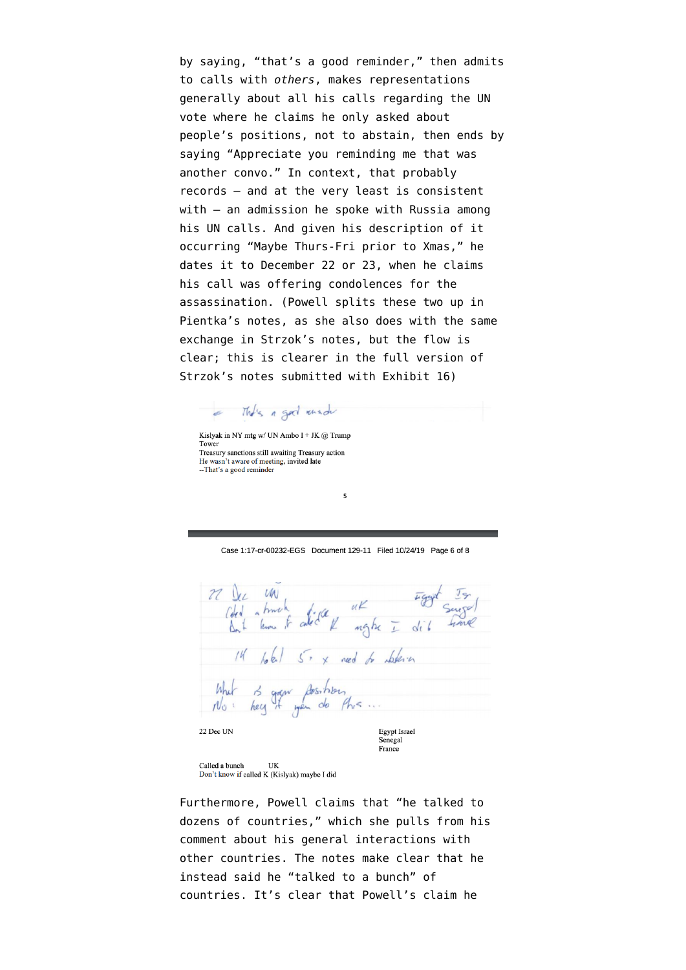by saying, "that's a good reminder," then admits to calls with *others*, makes representations generally about all his calls regarding the UN vote where he claims he only asked about people's positions, not to abstain, then ends by saying "Appreciate you reminding me that was another convo." In context, that probably records — and at the very least is consistent with – an admission he spoke with Russia among his UN calls. And given his description of it occurring "Maybe Thurs-Fri prior to Xmas," he dates it to December 22 or 23, when he claims his call was offering condolences for the assassination. (Powell splits these two up in Pientka's notes, as she also does with the same exchange in Strzok's notes, but the flow is clear; this is clearer in [the full version of](https://www.courtlistener.com/recap/gov.uscourts.dcd.191592/gov.uscourts.dcd.191592.129.18.pdf) [Strzok's notes](https://www.courtlistener.com/recap/gov.uscourts.dcd.191592/gov.uscourts.dcd.191592.129.18.pdf) submitted with Exhibit 16)

a This a god know

Kislyak in NY mtg w/ UN Ambo I + JK @ Trump Tower Treasury sanctions still awaiting Treasury action He wasn't aware of meeting, invited late -- That's a good reminder

Case 1:17-cr-00232-EGS Document 129-11 Filed 10/24/19 Page 6 of 8

 $\overline{\mathbf{5}}$ 

22 Dec UN<br>Ched a time to cated a  $uK$  Fight  $s$ <br>angle  $\overline{L}$  dil 14 lotal 5x x ned to deferen What is gran fossibles,<br>No hey it wen do this  $N_{\mathcal{O}}$ 22 Dec UN Egypt Israel Senegal

France

Called a bunch **IIK** Don't know if called K (Kislyak) maybe I did

Furthermore, Powell claims that "he talked to dozens of countries," which she pulls from his comment about his general interactions with other countries. The notes make clear that he instead said he "talked to a bunch" of countries. It's clear that Powell's claim he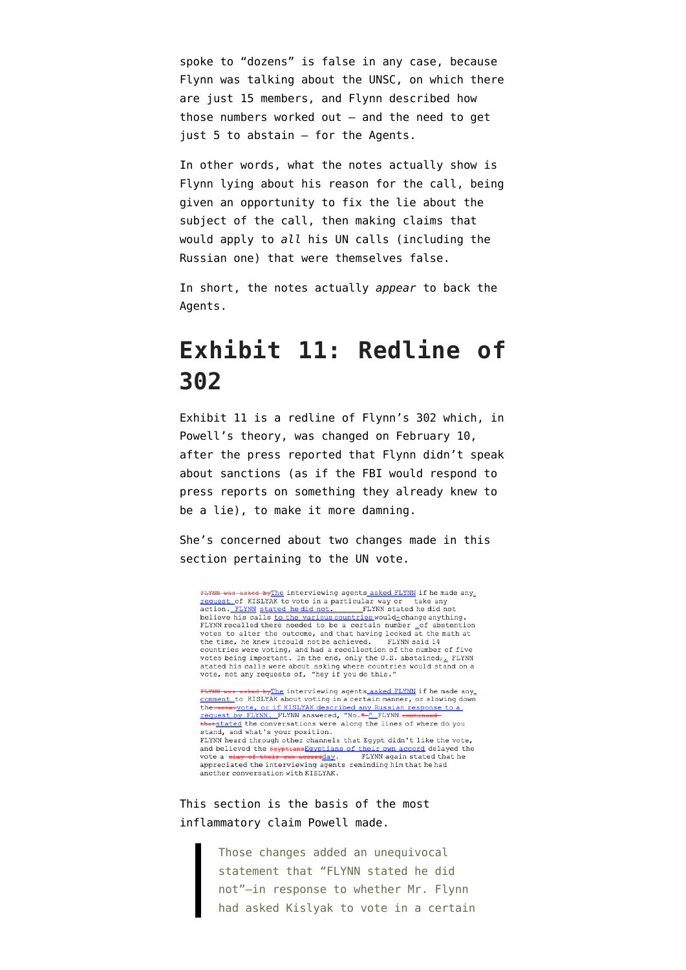spoke to "dozens" is false in any case, because Flynn was talking about the UNSC, on which there are just 15 members, and Flynn described how those numbers worked out — and the need to get just 5 to abstain — for the Agents.

In other words, what the notes actually show is Flynn lying about his reason for the call, being given an opportunity to fix the lie about the subject of the call, then making claims that would apply to *all* his UN calls (including the Russian one) that were themselves false.

In short, the notes actually *appear* to back the Agents.

#### **Exhibit 11: Redline of 302**

[Exhibit 11](https://www.courtlistener.com/recap/gov.uscourts.dcd.191592/gov.uscourts.dcd.191592.129.13.pdf) is a redline of Flynn's 302 which, in Powell's theory, was changed on February 10, after the press reported that Flynn didn't speak about sanctions (as if the FBI would respond to press reports on something they already knew to be a lie), to make it more damning.

She's concerned about two changes made in this section pertaining to the UN vote.

FLYNN was asked byThe interviewing agents asked FLYNN if he made any FLYNN was asked by ine interviewing agents asked FLYNN if he made any<br>
<u>request</u> of KISLYNAK to vote in a particular way or take any<br>
action. FLYNN stated he did not.<br>
FLYNN stated he did not<br>
believe his calls <u>to the var</u> votes to alter the outcome, and that having looked at the math at<br>the time, he knew it could not be achieved. FLYNN said 14 the time, he knew itcould not be achieved. First manifold countries were voting, and had a recollection of the number of five votes being important. In the end, only the U.S. abstained $\tau_{\pm}$  FLYNN views being important. In the end, only the other stated his calls were about asking where countries would stand on a vote, not any requests of, "hey if you do this."

**FLYNN was asked by**The interviewing agents asked FLYNN if he made any<br><u>comment</u> to KISLYAK about voting in a certain manner, or slowing down the vote, yote, or if KISLYAK described any Russian response to a request by FLYNN. FLYNN answered, "No. "-" FLYNN continued thatstated the conversations were along the lines of where do you stand, and what's your position. FLYNN heard through other channels that Egypt didn't like the vote, and believed the  $\frac{3}{2}$  and believed the  $\frac{2}{2}$  and believed the vote a clay of their own accord average FLYNN again stated that he appreciated the interviewing agents reminding him that he had another conversation with KISLYAK.

This section is the basis of the most inflammatory claim Powell made.

> Those changes added an unequivocal statement that "FLYNN stated he did not"—in response to whether Mr. Flynn had asked Kislyak to vote in a certain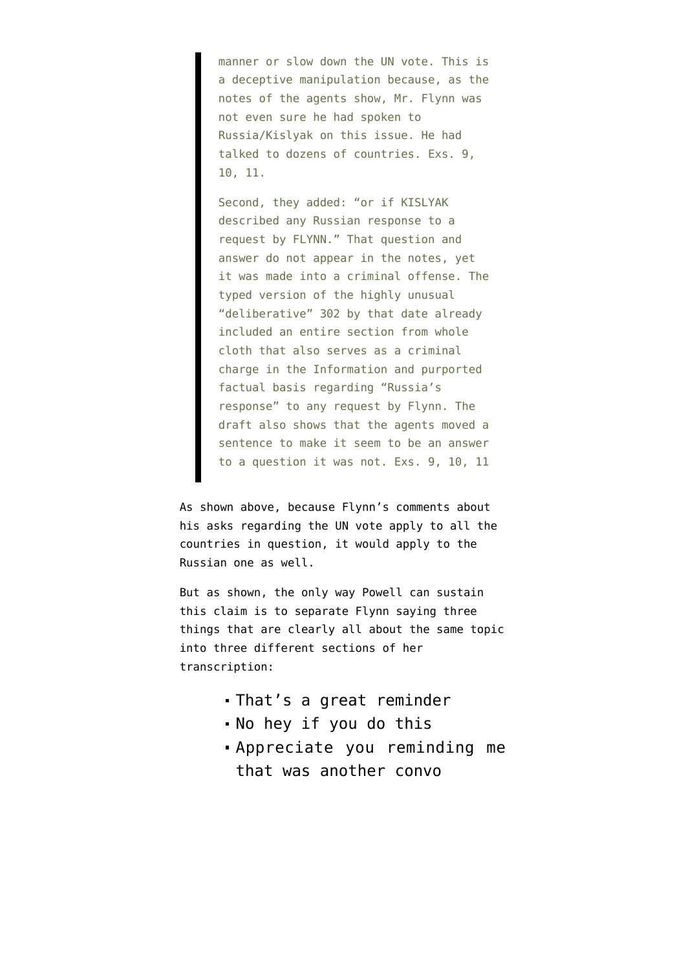manner or slow down the UN vote. This is a deceptive manipulation because, as the notes of the agents show, Mr. Flynn was not even sure he had spoken to Russia/Kislyak on this issue. He had talked to dozens of countries. Exs. 9, 10, 11.

Second, they added: "or if KISLYAK described any Russian response to a request by FLYNN." That question and answer do not appear in the notes, yet it was made into a criminal offense. The typed version of the highly unusual "deliberative" 302 by that date already included an entire section from whole cloth that also serves as a criminal charge in the Information and purported factual basis regarding "Russia's response" to any request by Flynn. The draft also shows that the agents moved a sentence to make it seem to be an answer to a question it was not. Exs. 9, 10, 11

As shown above, because Flynn's comments about his asks regarding the UN vote apply to all the countries in question, it would apply to the Russian one as well.

But as shown, the only way Powell can sustain this claim is to separate Flynn saying three things that are clearly all about the same topic into three different sections of her transcription:

- That's a great reminder
- No hey if you do this
- Appreciate you reminding me that was another convo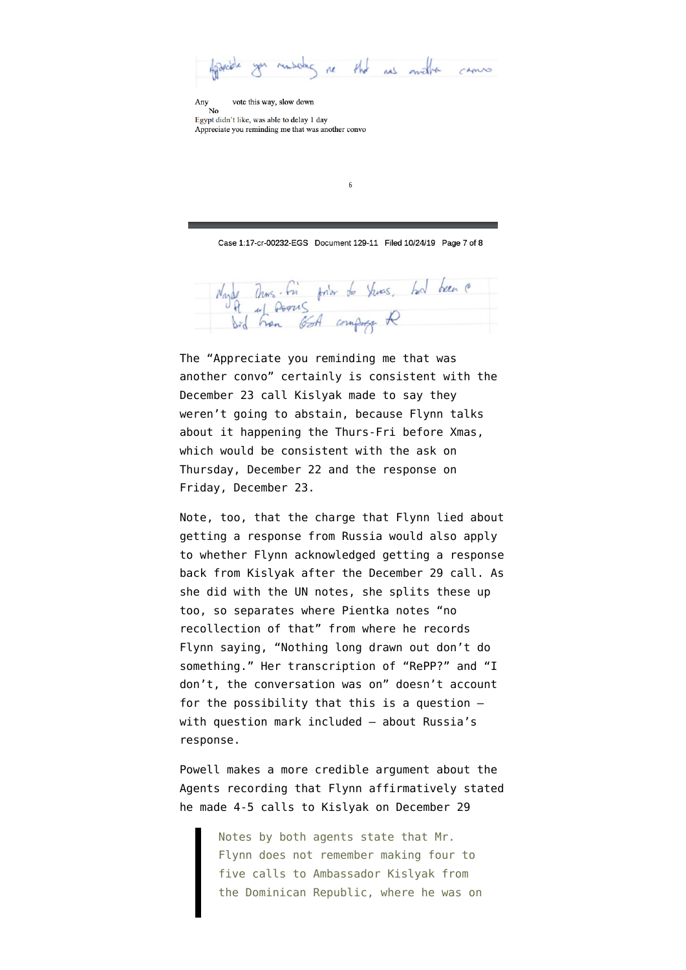you remarking re the res mather cannot

Any  $\frac{N_0}{N_0}$ vote this way, slow down

Egypt didn't like, was able to delay 1 day Appreciate you reminding me that was another convo

Case 1:17-cr-00232-EGS Document 129-11 Filed 10/24/19 Page 7 of 8

 $6\overline{6}$ 

Nayle Thus in fort to Yuns, had been

The "Appreciate you reminding me that was another convo" certainly is consistent with the December 23 call Kislyak made to say they weren't going to abstain, because Flynn talks about it happening the Thurs-Fri before Xmas, which would be consistent with the ask on Thursday, December 22 and the response on Friday, December 23.

Note, too, that the charge that Flynn lied about getting a response from Russia would also apply to whether Flynn acknowledged getting a response back from Kislyak after the December 29 call. As she did with the UN notes, she splits these up too, so separates where Pientka notes "no recollection of that" from where he records Flynn saying, "Nothing long drawn out don't do something." Her transcription of "RePP?" and "I don't, the conversation was on" doesn't account for the possibility that this is a question with question mark included — about Russia's response.

Powell makes a more credible argument about the Agents recording that Flynn affirmatively stated he made 4-5 calls to Kislyak on December 29

> Notes by both agents state that Mr. Flynn does not remember making four to five calls to Ambassador Kislyak from the Dominican Republic, where he was on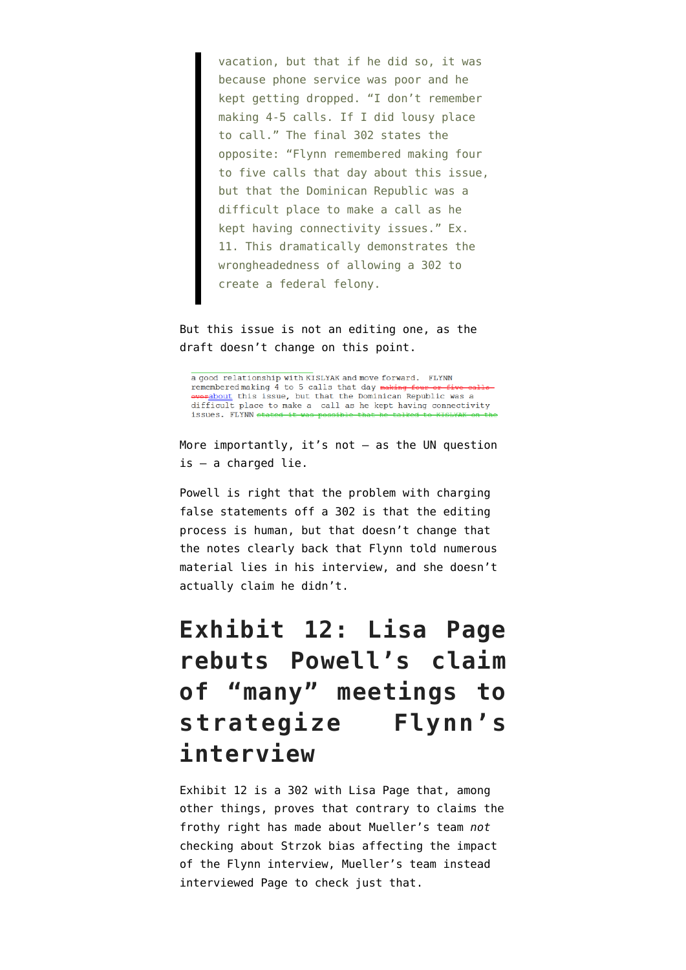vacation, but that if he did so, it was because phone service was poor and he kept getting dropped. "I don't remember making 4-5 calls. If I did lousy place to call." The final 302 states the opposite: "Flynn remembered making four to five calls that day about this issue, but that the Dominican Republic was a difficult place to make a call as he kept having connectivity issues." Ex. 11. This dramatically demonstrates the wrongheadedness of allowing a 302 to create a federal felony.

But this issue is not an editing one, as the draft doesn't change on this point.

a good relationship with KISLYAK and move forward. FLYNN remembered making 4 to 5 calls that day making fo **everabout** this issue, but that the Dominican Republic was a difficult place to make a call as he kept having connectivity issues. FLYNN ste

More importantly, it's not — as the UN question is — a charged lie.

Powell is right that the problem with charging false statements off a 302 is that the editing process is human, but that doesn't change that the notes clearly back that Flynn told numerous material lies in his interview, and she doesn't actually claim he didn't.

# **Exhibit 12: Lisa Page rebuts Powell's claim of "many" meetings to strategize Flynn's interview**

[Exhibit 12](https://www.courtlistener.com/recap/gov.uscourts.dcd.191592/gov.uscourts.dcd.191592.129.14.pdf) is a 302 with Lisa Page that, among other things, proves that contrary to claims the frothy right has made about Mueller's team *not* checking about Strzok bias affecting the impact of the Flynn interview, Mueller's team instead interviewed Page to check just that.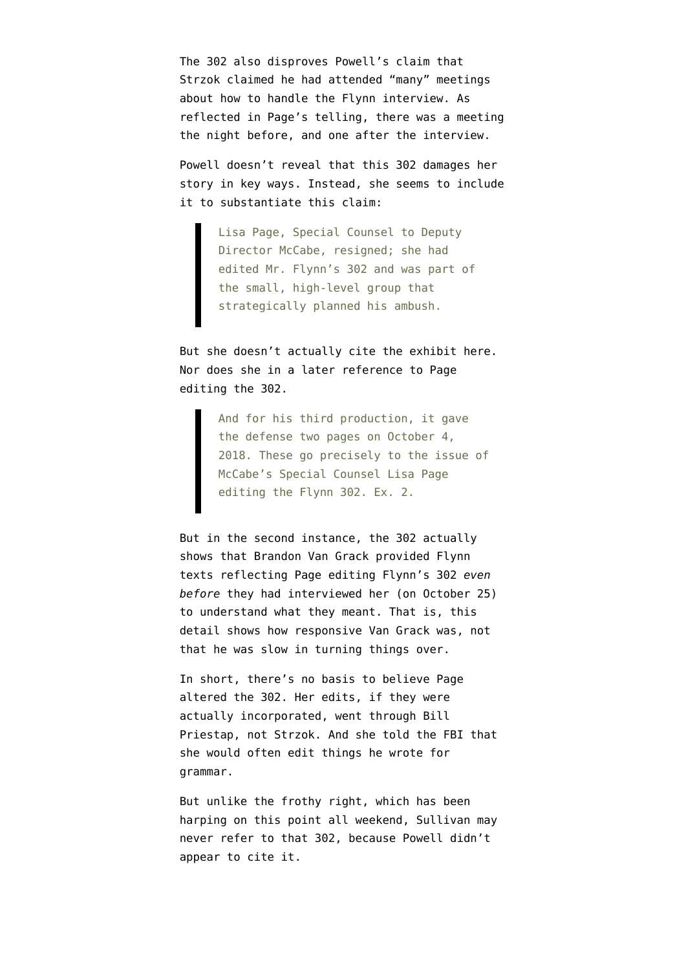The 302 also disproves Powell's claim that Strzok claimed he had attended "many" meetings about how to handle the Flynn interview. As reflected in Page's telling, there was a meeting the night before, and one after the interview.

Powell doesn't reveal that this 302 damages her story in key ways. Instead, she seems to include it to substantiate this claim:

> Lisa Page, Special Counsel to Deputy Director McCabe, resigned; she had edited Mr. Flynn's 302 and was part of the small, high-level group that strategically planned his ambush.

But she doesn't actually cite the exhibit here. Nor does she in a later reference to Page editing the 302.

> And for his third production, it gave the defense two pages on October 4, 2018. These go precisely to the issue of McCabe's Special Counsel Lisa Page editing the Flynn 302. Ex. 2.

But in the second instance, the 302 actually shows that Brandon Van Grack provided Flynn texts reflecting Page editing Flynn's 302 *even before* they had interviewed her (on October 25) to understand what they meant. That is, this detail shows how responsive Van Grack was, not that he was slow in turning things over.

In short, there's no basis to believe Page altered the 302. Her edits, if they were actually incorporated, went through Bill Priestap, not Strzok. And she told the FBI that she would often edit things he wrote for grammar.

But unlike the frothy right, which has been harping on this point all weekend, Sullivan may never refer to that 302, because Powell didn't appear to cite it.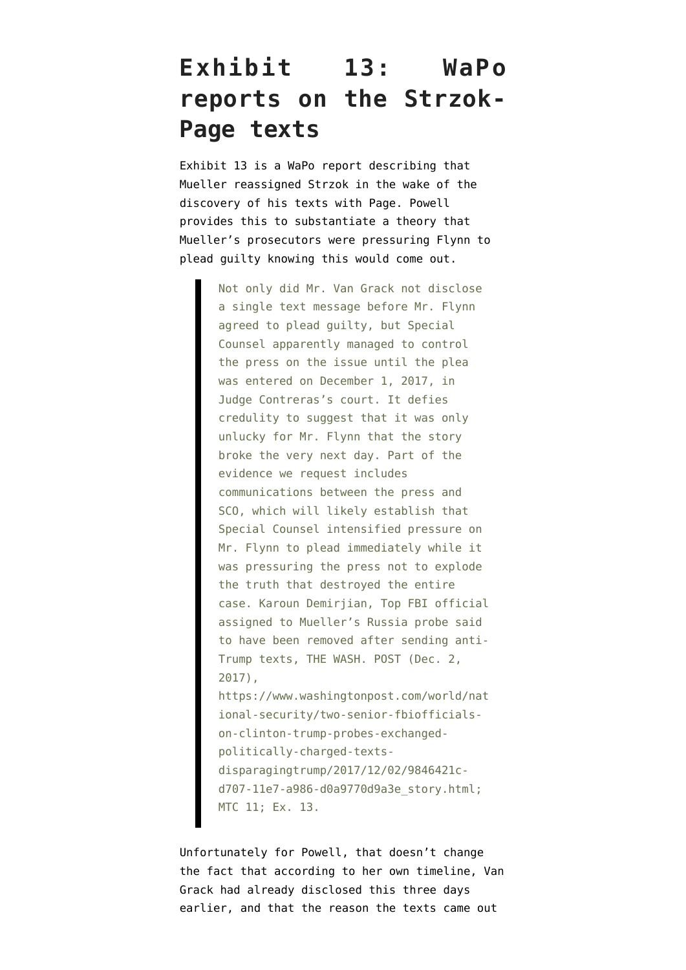## **Exhibit 13: WaPo reports on the Strzok-Page texts**

[Exhibit 13](https://www.courtlistener.com/recap/gov.uscourts.dcd.191592/gov.uscourts.dcd.191592.129.15.pdf) is a WaPo report describing that Mueller reassigned Strzok in the wake of the discovery of his texts with Page. Powell provides this to substantiate a theory that Mueller's prosecutors were pressuring Flynn to plead guilty knowing this would come out.

> Not only did Mr. Van Grack not disclose a single text message before Mr. Flynn agreed to plead guilty, but Special Counsel apparently managed to control the press on the issue until the plea was entered on December 1, 2017, in Judge Contreras's court. It defies credulity to suggest that it was only unlucky for Mr. Flynn that the story broke the very next day. Part of the evidence we request includes communications between the press and SCO, which will likely establish that Special Counsel intensified pressure on Mr. Flynn to plead immediately while it was pressuring the press not to explode the truth that destroyed the entire case. Karoun Demirjian, Top FBI official assigned to Mueller's Russia probe said to have been removed after sending anti-Trump texts, THE WASH. POST (Dec. 2, 2017), https://www.washingtonpost.com/world/nat ional-security/two-senior-fbiofficialson-clinton-trump-probes-exchanged-

politically-charged-textsdisparagingtrump/2017/12/02/9846421cd707-11e7-a986-d0a9770d9a3e\_story.html; MTC 11; Ex. 13.

Unfortunately for Powell, that doesn't change the fact that according to her own timeline, Van Grack had already disclosed this three days earlier, and that the reason the texts came out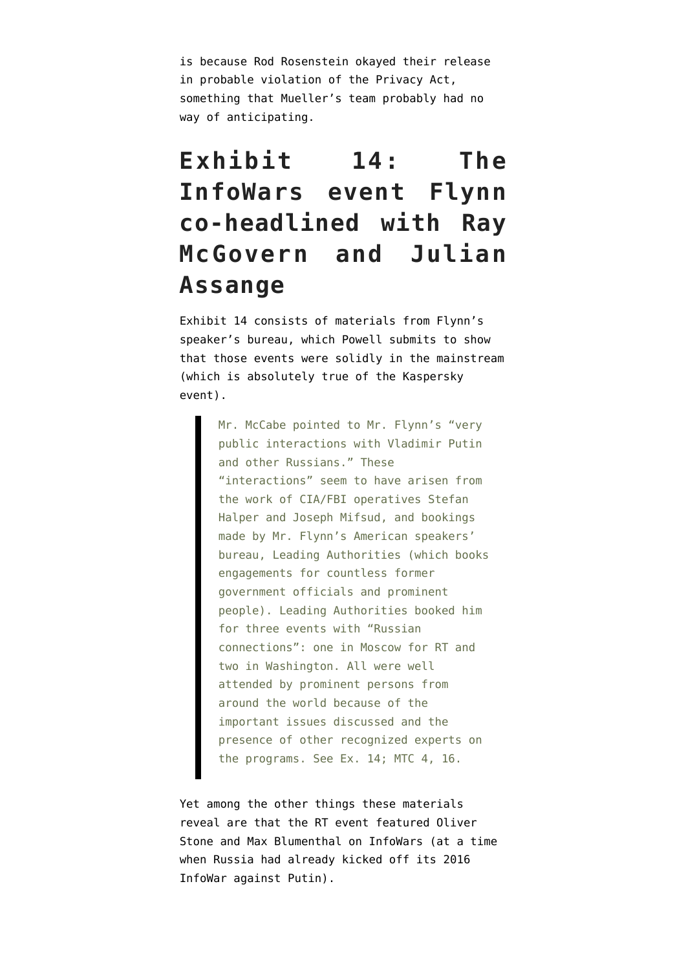is because Rod Rosenstein okayed their release in probable violation of the Privacy Act, something that Mueller's team probably had no way of anticipating.

# **Exhibit 14: The InfoWars event Flynn co-headlined with Ray McGovern and Julian Assange**

[Exhibit 14](https://www.courtlistener.com/recap/gov.uscourts.dcd.191592/gov.uscourts.dcd.191592.129.16.pdf) consists of materials from Flynn's speaker's bureau, which Powell submits to show that those events were solidly in the mainstream (which is absolutely true of the Kaspersky event).

> Mr. McCabe pointed to Mr. Flynn's "very public interactions with Vladimir Putin and other Russians." These "interactions" seem to have arisen from the work of CIA/FBI operatives Stefan Halper and Joseph Mifsud, and bookings made by Mr. Flynn's American speakers' bureau, Leading Authorities (which books engagements for countless former government officials and prominent people). Leading Authorities booked him for three events with "Russian connections": one in Moscow for RT and two in Washington. All were well attended by prominent persons from around the world because of the important issues discussed and the presence of other recognized experts on the programs. See Ex. 14; MTC 4, 16.

Yet among the other things these materials reveal are that the RT event featured Oliver Stone and Max Blumenthal on InfoWars (at a time when Russia had already kicked off its 2016 InfoWar against Putin).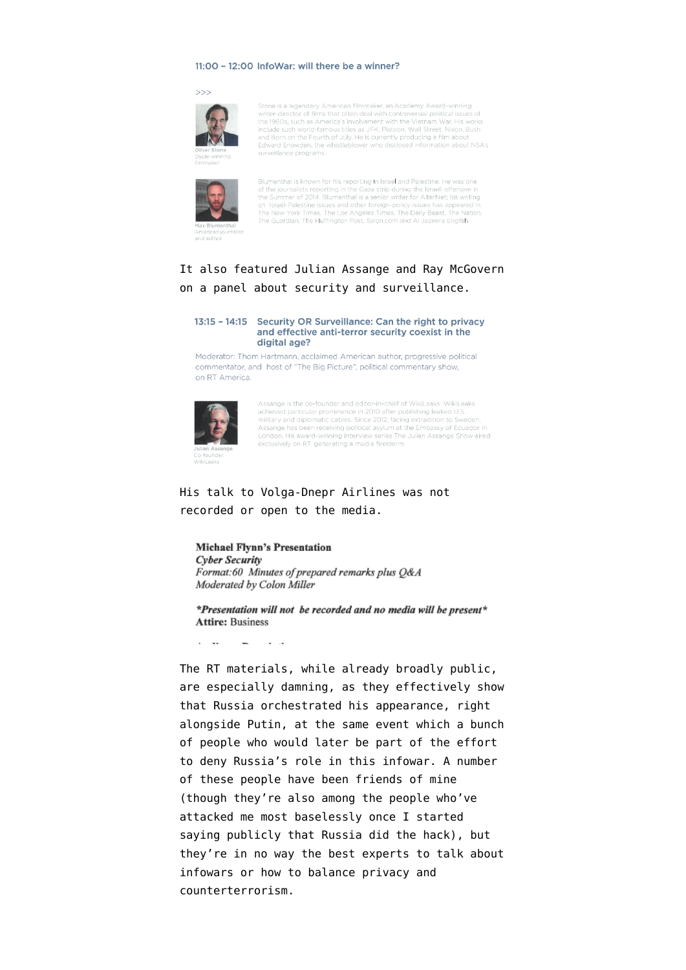#### 11:00 - 12:00 InfoWar: will there be a winner?

#### $>>$



Stone is a legendary American filmmaker, an Academy Award-winning<br>writer-director of films that often deal with controversial political issues of the 1960s, such as America's involvement with the Vietnam War. His works include such world-famous titles as JFK, Platoon, Wall Street, Nixon, Bush and Born on the Fourth of July. He is currently producing a film about Edward Snowden, the whistleblower who disclosed information about NSA's surveillance programs.



Blumenthal is known for his reporting in Israel and Palestine. He was one of the journalists reporting in the Gaza strip during the Israeli offensive in the Summer of 2014. Blumenthal is a senior writer for AlterNet; his writing on Israel-Palestine issues and other foreign-policy issues has appeared in<br>The New York Times, The Los Angeles Times, The Daily Beast, The Nation,<br>The Guardian, The Huffington Post, Salon.com and Al Jazeera English.

#### It also featured Julian Assange and Ray McGovern on a panel about security and surveillance.

#### 13:15 - 14:15 Security OR Surveillance: Can the right to privacy and effective anti-terror security coexist in the digital age?

Moderator: Thom Hartmann, acclaimed American author, progressive political commentator, and host of "The Big Picture", political commentary show, on RT America.



Assange is the co-founder and editor-in-chief of WikiLeaks. WikiLeaks<br>achieved particular prominence in 2010 after publishing leaked U.S.<br>military and diplomatic cables. Since 2012, facing extradition to Sweden Assange has been receiving political asylum at the Embassy of Ecuador in London. His award-winning interview series The Julian Assange Show aired exclusively on RT, generating a media firestorm.

#### His talk to Volga-Dnepr Airlines was not recorded or open to the media.

#### **Michael Flynn's Presentation Cyber Security** Format:60 Minutes of prepared remarks plus Q&A Moderated by Colon Miller

\*Presentation will not be recorded and no media will be present\* **Attire: Business** 

**Contract Contract Contract**  $\overline{\phantom{a}}$ 

The RT materials, while already broadly public, are especially damning, as they effectively show that Russia orchestrated his appearance, right alongside Putin, at the same event which a bunch of people who would later be part of the effort to deny Russia's role in this infowar. A number of these people have been friends of mine (though they're also among the people who've attacked me most baselessly once I started saying publicly that Russia did the hack), but they're in no way the best experts to talk about infowars or how to balance privacy and counterterrorism.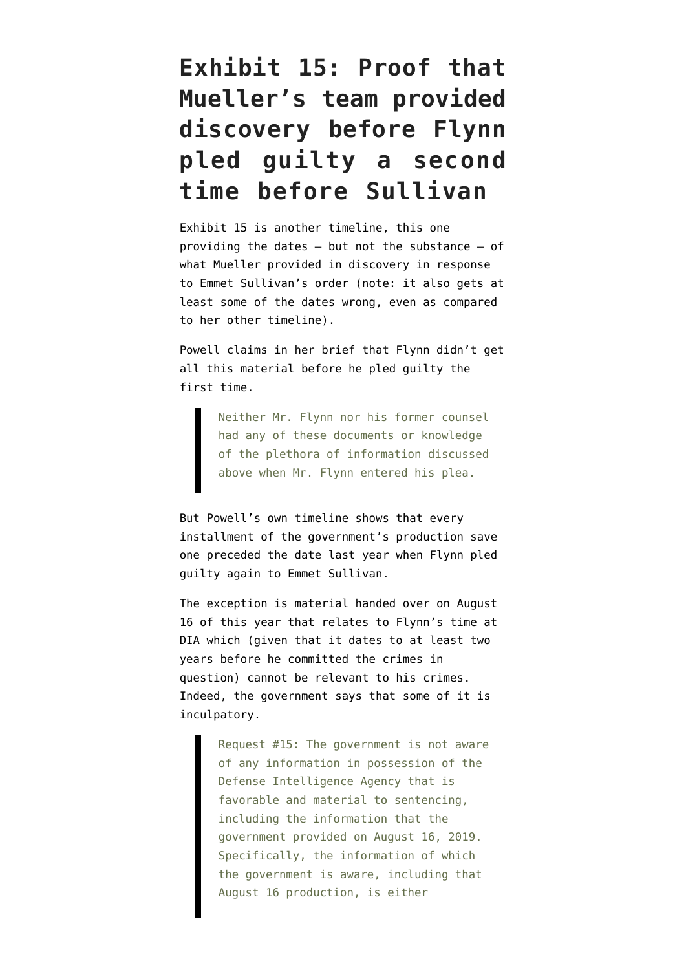# **Exhibit 15: Proof that Mueller's team provided discovery before Flynn pled guilty a second time before Sullivan**

[Exhibit 15](https://www.courtlistener.com/recap/gov.uscourts.dcd.191592/gov.uscourts.dcd.191592.129.17.pdf) is another timeline, this one providing the dates — but not the substance — of what Mueller provided in discovery in response to Emmet Sullivan's order (note: it also gets at least some of the dates wrong, even as compared to her other timeline).

Powell claims in her brief that Flynn didn't get all this material before he pled guilty the first time.

> Neither Mr. Flynn nor his former counsel had any of these documents or knowledge of the plethora of information discussed above when Mr. Flynn entered his plea.

But Powell's own timeline shows that every installment of the government's production save one preceded the date last year when Flynn pled guilty again to Emmet Sullivan.

The exception is material handed over on August 16 of this year that relates to Flynn's time at DIA which (given that it dates to at least two years before he committed the crimes in question) cannot be relevant to his crimes. Indeed, [the government says](https://www.courtlistener.com/recap/gov.uscourts.dcd.191592/gov.uscourts.dcd.191592.122.0_3.pdf) that some of it is inculpatory.

> Request #15: The government is not aware of any information in possession of the Defense Intelligence Agency that is favorable and material to sentencing, including the information that the government provided on August 16, 2019. Specifically, the information of which the government is aware, including that August 16 production, is either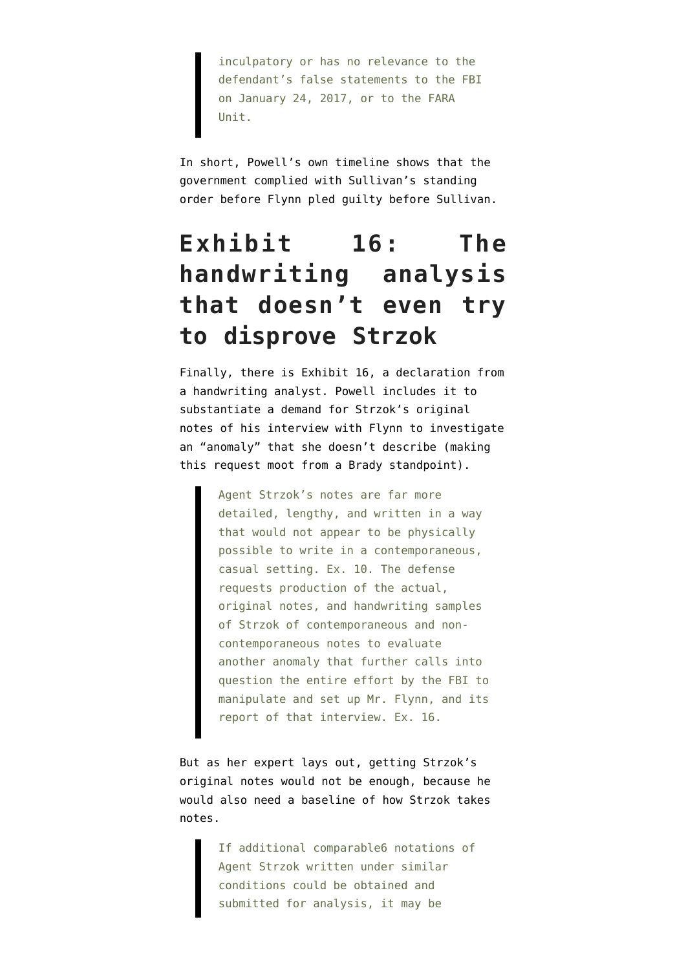inculpatory or has no relevance to the defendant's false statements to the FBI on January 24, 2017, or to the FARA Unit.

In short, Powell's own timeline shows that the government complied with Sullivan's standing order before Flynn pled guilty before Sullivan.

# **Exhibit 16: The handwriting analysis that doesn't even try to disprove Strzok**

Finally, there is [Exhibit 16](https://www.courtlistener.com/recap/gov.uscourts.dcd.191592/gov.uscourts.dcd.191592.129.18.pdf), a declaration from a handwriting analyst. Powell includes it to substantiate a demand for Strzok's original notes of his interview with Flynn to investigate an "anomaly" that she doesn't describe (making this request moot from a Brady standpoint).

> Agent Strzok's notes are far more detailed, lengthy, and written in a way that would not appear to be physically possible to write in a contemporaneous, casual setting. Ex. 10. The defense requests production of the actual, original notes, and handwriting samples of Strzok of contemporaneous and noncontemporaneous notes to evaluate another anomaly that further calls into question the entire effort by the FBI to manipulate and set up Mr. Flynn, and its report of that interview. Ex. 16.

But as her expert lays out, getting Strzok's original notes would not be enough, because he would also need a baseline of how Strzok takes notes.

> If additional comparable6 notations of Agent Strzok written under similar conditions could be obtained and submitted for analysis, it may be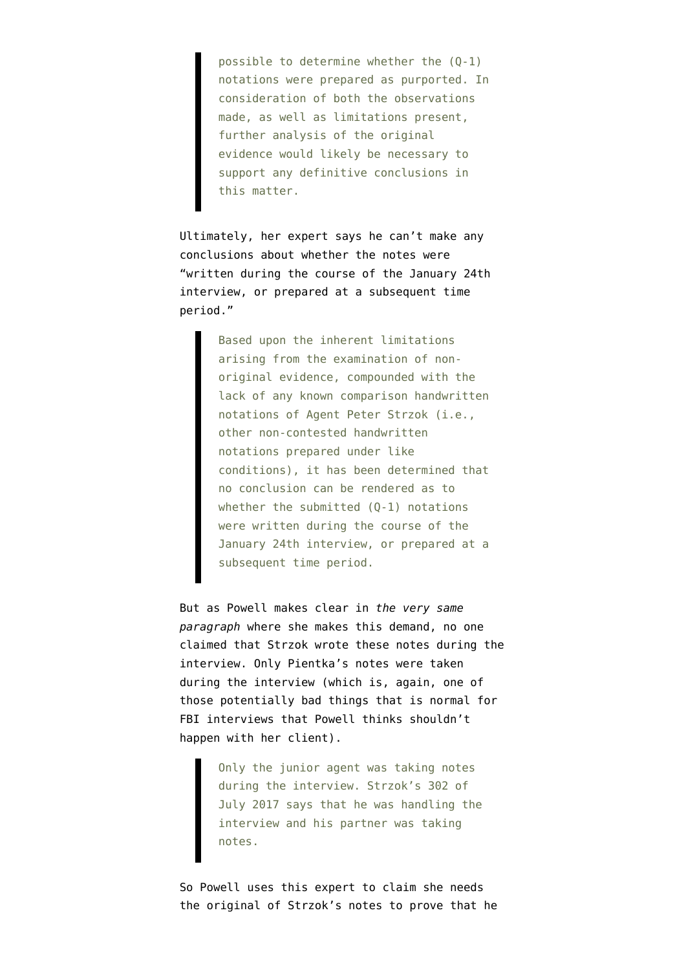possible to determine whether the (Q-1) notations were prepared as purported. In consideration of both the observations made, as well as limitations present, further analysis of the original evidence would likely be necessary to support any definitive conclusions in this matter.

Ultimately, her expert says he can't make any conclusions about whether the notes were "written during the course of the January 24th interview, or prepared at a subsequent time period."

> Based upon the inherent limitations arising from the examination of nonoriginal evidence, compounded with the lack of any known comparison handwritten notations of Agent Peter Strzok (i.e., other non-contested handwritten notations prepared under like conditions), it has been determined that no conclusion can be rendered as to whether the submitted (Q-1) notations were written during the course of the January 24th interview, or prepared at a subsequent time period.

But as Powell makes clear in *the very same paragraph* where she makes this demand, no one claimed that Strzok wrote these notes during the interview. Only Pientka's notes were taken during the interview (which is, again, one of those potentially bad things that is normal for FBI interviews that Powell thinks shouldn't happen with her client).

> Only the junior agent was taking notes during the interview. Strzok's 302 of July 2017 says that he was handling the interview and his partner was taking notes.

So Powell uses this expert to claim she needs the original of Strzok's notes to prove that he